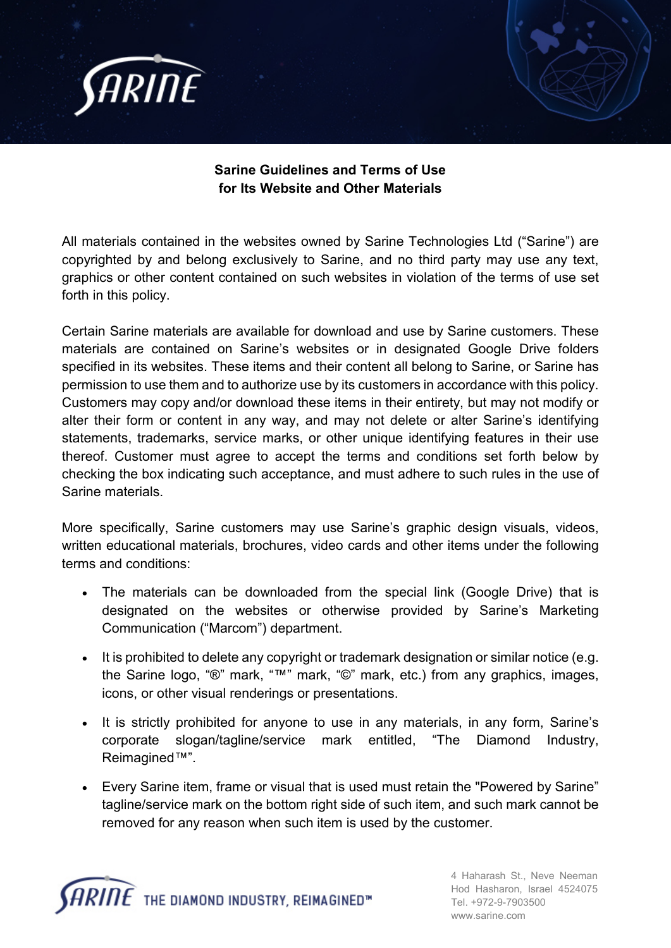

## **Sarine Guidelines and Terms of Use for Its Website and Other Materials**

All materials contained in the websites owned by Sarine Technologies Ltd ("Sarine") are copyrighted by and belong exclusively to Sarine, and no third party may use any text, graphics or other content contained on such websites in violation of the terms of use set forth in this policy.

Certain Sarine materials are available for download and use by Sarine customers. These materials are contained on Sarine's websites or in designated Google Drive folders specified in its websites. These items and their content all belong to Sarine, or Sarine has permission to use them and to authorize use by its customers in accordance with this policy. Customers may copy and/or download these items in their entirety, but may not modify or alter their form or content in any way, and may not delete or alter Sarine's identifying statements, trademarks, service marks, or other unique identifying features in their use thereof. Customer must agree to accept the terms and conditions set forth below by checking the box indicating such acceptance, and must adhere to such rules in the use of Sarine materials.

More specifically, Sarine customers may use Sarine's graphic design visuals, videos, written educational materials, brochures, video cards and other items under the following terms and conditions:

- The materials can be downloaded from the special link (Google Drive) that is designated on the websites or otherwise provided by Sarine's Marketing Communication ("Marcom") department.
- It is prohibited to delete any copyright or trademark designation or similar notice (e.g. the Sarine logo, "®" mark, "™" mark, "©" mark, etc.) from any graphics, images, icons, or other visual renderings or presentations.
- It is strictly prohibited for anyone to use in any materials, in any form, Sarine's corporate slogan/tagline/service mark entitled, "The Diamond Industry, Reimagined™".
- Every Sarine item, frame or visual that is used must retain the "Powered by Sarine" tagline/service mark on the bottom right side of such item, and such mark cannot be removed for any reason when such item is used by the customer.